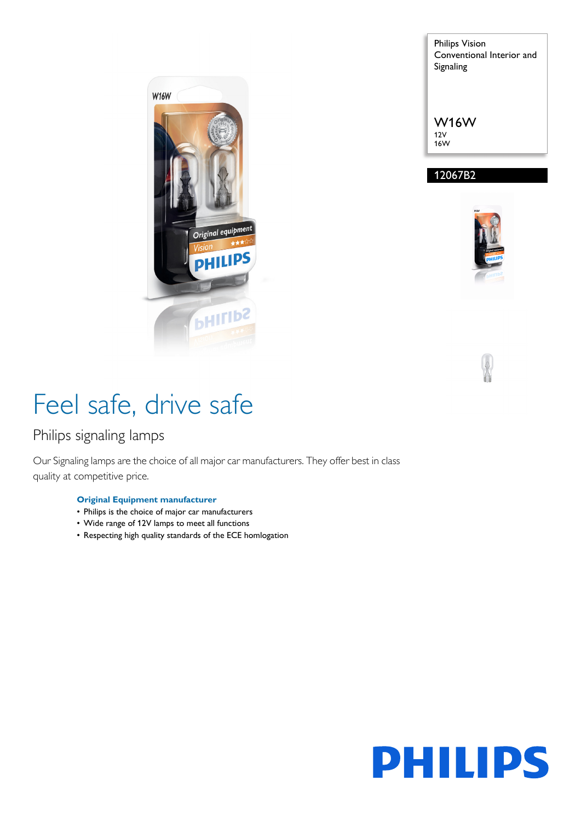

Philips Vision Conventional Interior and Signaling

W16W 12V

16W

### 12067B2





# Feel safe, drive safe

### Philips signaling lamps

Our Signaling lamps are the choice of all major car manufacturers. They offer best in class quality at competitive price.

#### **Original Equipment manufacturer**

- Philips is the choice of major car manufacturers
- Wide range of 12V lamps to meet all functions
- Respecting high quality standards of the ECE homlogation